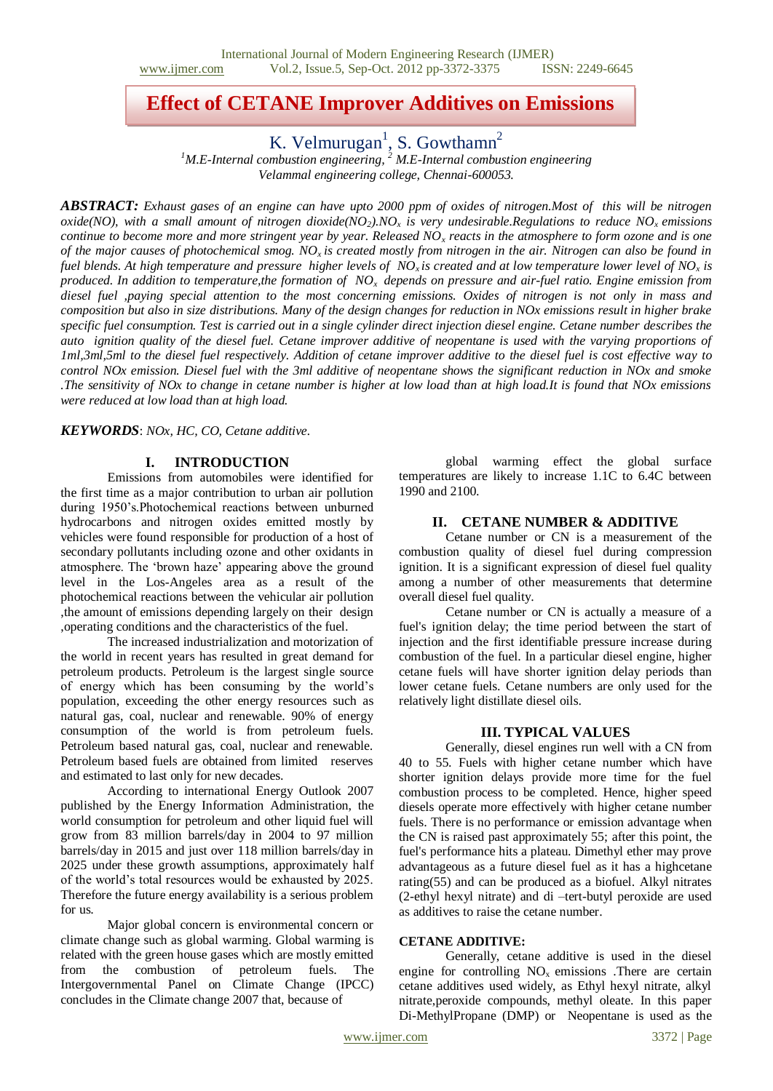# **Effect of CETANE Improver Additives on Emissions**

K. Velmurugan<sup>1</sup>, S. Gowthamn<sup>2</sup>

*<sup>1</sup>M.E-Internal combustion engineering, <sup>2</sup> M.E-Internal combustion engineering Velammal engineering college, Chennai-600053.*

*ABSTRACT: Exhaust gases of an engine can have upto 2000 ppm of oxides of nitrogen.Most of this will be nitrogen oxide(NO), with a small amount of nitrogen dioxide(NO2).NO<sup>x</sup> is very undesirable.Regulations to reduce NOx emissions continue to become more and more stringent year by year. Released NO<sup>x</sup> reacts in the atmosphere to form ozone and is one of the major causes of photochemical smog. NOx is created mostly from nitrogen in the air. Nitrogen can also be found in fuel blends. At high temperature and pressure higher levels of NOx is created and at low temperature lower level of NO<sup>x</sup> is produced. In addition to temperature,the formation of NOx depends on pressure and air-fuel ratio. Engine emission from diesel fuel ,paying special attention to the most concerning emissions. Oxides of nitrogen is not only in mass and composition but also in size distributions. Many of the design changes for reduction in NOx emissions result in higher brake specific fuel consumption. Test is carried out in a single cylinder direct injection diesel engine. Cetane number describes the auto ignition quality of the diesel fuel. Cetane improver additive of neopentane is used with the varying proportions of 1ml,3ml,5ml to the diesel fuel respectively. Addition of cetane improver additive to the diesel fuel is cost effective way to control NOx emission. Diesel fuel with the 3ml additive of neopentane shows the significant reduction in NOx and smoke .The sensitivity of NOx to change in cetane number is higher at low load than at high load.It is found that NOx emissions were reduced at low load than at high load.*

*KEYWORDS*: *NOx, HC, CO, Cetane additive.*

# **I. INTRODUCTION**

Emissions from automobiles were identified for the first time as a major contribution to urban air pollution during 1950's.Photochemical reactions between unburned hydrocarbons and nitrogen oxides emitted mostly by vehicles were found responsible for production of a host of secondary pollutants including ozone and other oxidants in atmosphere. The 'brown haze' appearing above the ground level in the Los-Angeles area as a result of the photochemical reactions between the vehicular air pollution ,the amount of emissions depending largely on their design ,operating conditions and the characteristics of the fuel.

The increased industrialization and motorization of the world in recent years has resulted in great demand for petroleum products. Petroleum is the largest single source of energy which has been consuming by the world's population, exceeding the other energy resources such as natural gas, coal, nuclear and renewable. 90% of energy consumption of the world is from petroleum fuels. Petroleum based natural gas, coal, nuclear and renewable. Petroleum based fuels are obtained from limited reserves and estimated to last only for new decades.

According to international Energy Outlook 2007 published by the Energy Information Administration, the world consumption for petroleum and other liquid fuel will grow from 83 million barrels/day in 2004 to 97 million barrels/day in 2015 and just over 118 million barrels/day in 2025 under these growth assumptions, approximately half of the world's total resources would be exhausted by 2025. Therefore the future energy availability is a serious problem for us.

Major global concern is environmental concern or climate change such as global warming. Global warming is related with the green house gases which are mostly emitted from the combustion of petroleum fuels. The Intergovernmental Panel on Climate Change (IPCC) concludes in the Climate change 2007 that, because of

global warming effect the global surface temperatures are likely to increase 1.1C to 6.4C between 1990 and 2100.

## **II. CETANE NUMBER & ADDITIVE**

Cetane number or CN is a measurement of the [combustion](http://en.wikipedia.org/wiki/Combustion) quality of [diesel fuel](http://en.wikipedia.org/wiki/Diesel_fuel) during compression ignition. It is a significant expression of diesel fuel quality among a number of other measurements that determine overall diesel fuel quality.

[Cetane](http://en.wikipedia.org/wiki/Cetane) number or CN is actually a measure of a fuel's ignition delay; the time period between the start of injection and the first identifiable pressure increase during combustion of the fuel. In a particular diesel engine, higher cetane fuels will have shorter ignition delay periods than lower cetane fuels. Cetane numbers are only used for the relatively light distillate diesel oils.

#### **III. TYPICAL VALUES**

Generally, diesel engines run well with a CN from 40 to 55. Fuels with higher cetane number which have shorter ignition delays provide more time for the fuel combustion process to be completed. Hence, higher speed diesels operate more effectively with higher cetane number fuels. There is no performance or [emission](http://en.wikipedia.org/wiki/Emission_standard) advantage when the CN is raised past approximately 55; after this point, the fuel's performance hits a plateau. Dimethyl ether may prove advantageous as a future diesel fuel as it has a highcetane rating(55) and can be produced as a biofuel. Alkyl nitrates (2-ethyl hexyl nitrate) and di –tert-butyl peroxide are used as additives to raise the cetane number.

#### **CETANE ADDITIVE:**

Generally, cetane additive is used in the diesel engine for controlling  $NO<sub>x</sub>$  emissions .There are certain cetane additives used widely, as Ethyl hexyl nitrate, alkyl nitrate,peroxide compounds, methyl oleate. In this paper Di-MethylPropane (DMP) or Neopentane is used as the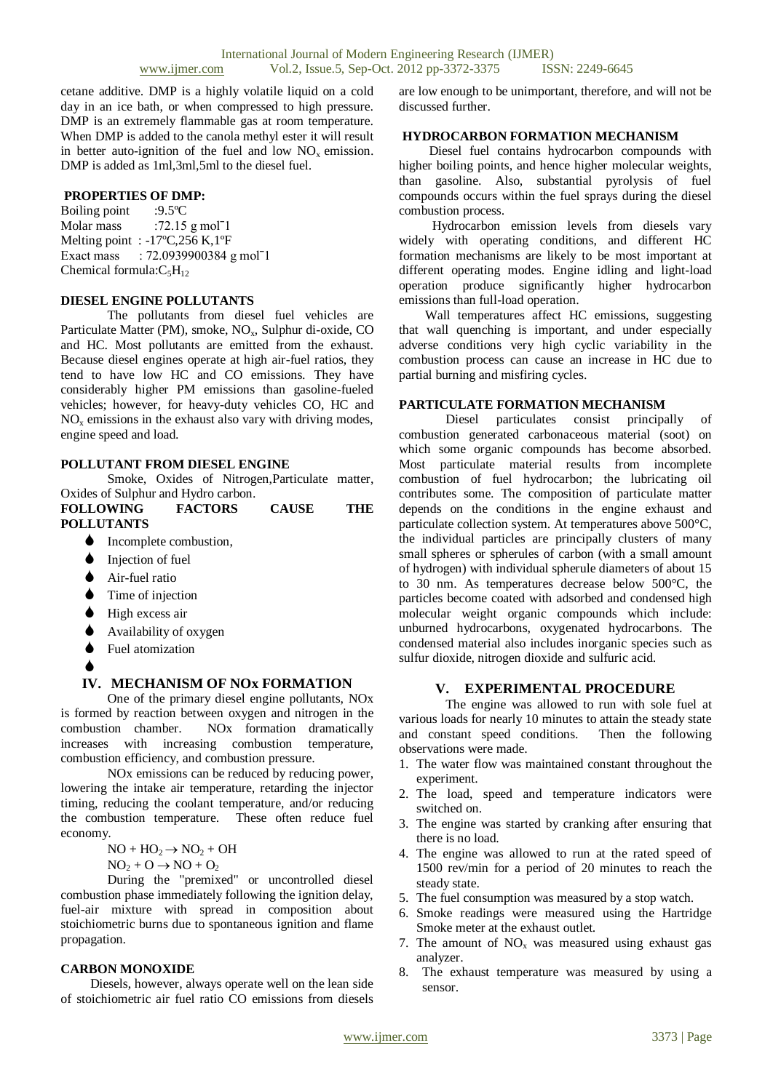cetane additive. DMP is a highly volatile liquid on a cold day in an ice bath, or when compressed to high pressure. DMP is an extremely flammable gas at room temperature. When DMP is added to the canola methyl ester it will result in better auto-ignition of the fuel and low  $NO<sub>x</sub>$  emission. DMP is added as 1ml,3ml,5ml to the diesel fuel.

#### **PROPERTIES OF DMP:**

Boiling point :9.5ºC Molar mass  $:72.15 \text{ g mol}^{-1}$ Melting point : -17°C,256 K,1°F Exact mass : 72.0939900384 g molˉ1 Chemical formula: $C_5H_{12}$ 

## **DIESEL ENGINE POLLUTANTS**

The pollutants from diesel fuel vehicles are Particulate Matter (PM), smoke, NO<sub>x</sub>, Sulphur di-oxide, CO and HC. Most pollutants are emitted from the exhaust. Because diesel engines operate at high air-fuel ratios, they tend to have low HC and CO emissions. They have considerably higher PM emissions than gasoline-fueled vehicles; however, for heavy-duty vehicles CO, HC and  $NO<sub>x</sub>$  emissions in the exhaust also vary with driving modes, engine speed and load.

#### **POLLUTANT FROM DIESEL ENGINE**

Smoke, Oxides of Nitrogen,Particulate matter, Oxides of Sulphur and Hydro carbon.

| <b>FOLLOWING</b>  | <b>FACTORS</b> | <b>CAUSE</b> | THE |
|-------------------|----------------|--------------|-----|
| <b>POLLUTANTS</b> |                |              |     |

- Incomplete combustion,
- Injection of fuel
- $\triangle$  Air-fuel ratio
- Time of injection
- High excess air
- Availability of oxygen
- **↓** Fuel atomization
- $\blacklozenge$

## **IV. MECHANISM OF NOx FORMATION**

One of the primary diesel engine pollutants, NOx is formed by reaction between oxygen and nitrogen in the combustion chamber. NOx formation dramatically increases with increasing combustion temperature, combustion efficiency, and combustion pressure.

NOx emissions can be reduced by reducing power, lowering the intake air temperature, retarding the injector timing, reducing the coolant temperature, and/or reducing the combustion temperature. These often reduce fuel economy.

 $NO + HO<sub>2</sub> \rightarrow NO<sub>2</sub> + OH$ 

 $NO<sub>2</sub> + O \rightarrow NO + O<sub>2</sub>$ 

During the "premixed" or uncontrolled diesel combustion phase immediately following the ignition delay, fuel-air mixture with spread in composition about stoichiometric burns due to spontaneous ignition and flame propagation.

#### **CARBON MONOXIDE**

Diesels, however, always operate well on the lean side of stoichiometric air fuel ratio CO emissions from diesels

are low enough to be unimportant, therefore, and will not be discussed further.

## **HYDROCARBON FORMATION MECHANISM**

 Diesel fuel contains hydrocarbon compounds with higher boiling points, and hence higher molecular weights, than gasoline. Also, substantial pyrolysis of fuel compounds occurs within the fuel sprays during the diesel combustion process.

 Hydrocarbon emission levels from diesels vary widely with operating conditions, and different HC formation mechanisms are likely to be most important at different operating modes. Engine idling and light-load operation produce significantly higher hydrocarbon emissions than full-load operation.

 Wall temperatures affect HC emissions, suggesting that wall quenching is important, and under especially adverse conditions very high cyclic variability in the combustion process can cause an increase in HC due to partial burning and misfiring cycles.

# **PARTICULATE FORMATION MECHANISM**

Diesel particulates consist principally of combustion generated carbonaceous material (soot) on which some organic compounds has become absorbed. Most particulate material results from incomplete combustion of fuel hydrocarbon; the lubricating oil contributes some. The composition of particulate matter depends on the conditions in the engine exhaust and particulate collection system. At temperatures above 500°C, the individual particles are principally clusters of many small spheres or spherules of carbon (with a small amount of hydrogen) with individual spherule diameters of about 15 to 30 nm. As temperatures decrease below 500°C, the particles become coated with adsorbed and condensed high molecular weight organic compounds which include: unburned hydrocarbons, oxygenated hydrocarbons. The condensed material also includes inorganic species such as sulfur dioxide, nitrogen dioxide and sulfuric acid.

## **V. EXPERIMENTAL PROCEDURE**

The engine was allowed to run with sole fuel at various loads for nearly 10 minutes to attain the steady state and constant speed conditions. Then the following observations were made.

- 1. The water flow was maintained constant throughout the experiment.
- 2. The load, speed and temperature indicators were switched on.
- 3. The engine was started by cranking after ensuring that there is no load.
- 4. The engine was allowed to run at the rated speed of 1500 rev/min for a period of 20 minutes to reach the steady state.
- 5. The fuel consumption was measured by a stop watch.
- 6. Smoke readings were measured using the Hartridge Smoke meter at the exhaust outlet.
- 7. The amount of  $NO<sub>x</sub>$  was measured using exhaust gas analyzer.
- 8. The exhaust temperature was measured by using a sensor.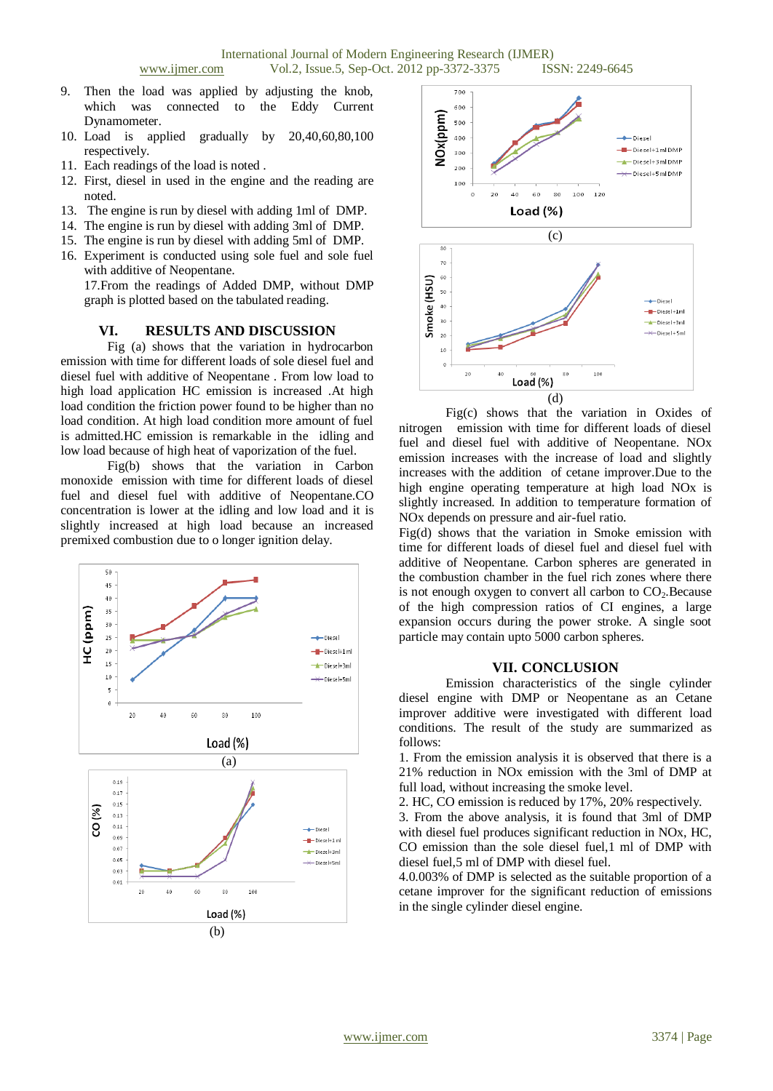- 9. Then the load was applied by adjusting the knob, which was connected to the Eddy Current Dynamometer.
- 10. Load is applied gradually by 20,40,60,80,100 respectively.
- 11. Each readings of the load is noted .
- 12. First, diesel in used in the engine and the reading are noted.
- 13. The engine is run by diesel with adding 1ml of DMP.
- 14. The engine is run by diesel with adding 3ml of DMP.
- 15. The engine is run by diesel with adding 5ml of DMP.
- 16. Experiment is conducted using sole fuel and sole fuel with additive of Neopentane.

17.From the readings of Added DMP, without DMP graph is plotted based on the tabulated reading.

## **VI. RESULTS AND DISCUSSION**

Fig (a) shows that the variation in hydrocarbon emission with time for different loads of sole diesel fuel and diesel fuel with additive of Neopentane . From low load to high load application HC emission is increased .At high load condition the friction power found to be higher than no load condition. At high load condition more amount of fuel is admitted.HC emission is remarkable in the idling and low load because of high heat of vaporization of the fuel.

Fig(b) shows that the variation in Carbon monoxide emission with time for different loads of diesel fuel and diesel fuel with additive of Neopentane.CO concentration is lower at the idling and low load and it is slightly increased at high load because an increased premixed combustion due to o longer ignition delay.





Fig(c) shows that the variation in Oxides of nitrogen emission with time for different loads of diesel fuel and diesel fuel with additive of Neopentane. NOx emission increases with the increase of load and slightly increases with the addition of cetane improver.Due to the high engine operating temperature at high load NOx is slightly increased. In addition to temperature formation of NOx depends on pressure and air-fuel ratio.

Fig(d) shows that the variation in Smoke emission with time for different loads of diesel fuel and diesel fuel with additive of Neopentane. Carbon spheres are generated in the combustion chamber in the fuel rich zones where there is not enough oxygen to convert all carbon to  $CO<sub>2</sub>$ . Because of the high compression ratios of CI engines, a large expansion occurs during the power stroke. A single soot particle may contain upto 5000 carbon spheres.

## **VII. CONCLUSION**

Emission characteristics of the single cylinder diesel engine with DMP or Neopentane as an Cetane improver additive were investigated with different load conditions. The result of the study are summarized as follows:

1. From the emission analysis it is observed that there is a 21% reduction in NOx emission with the 3ml of DMP at full load, without increasing the smoke level.

2. HC, CO emission is reduced by 17%, 20% respectively.

3. From the above analysis, it is found that 3ml of DMP with diesel fuel produces significant reduction in NOx, HC, CO emission than the sole diesel fuel,1 ml of DMP with diesel fuel,5 ml of DMP with diesel fuel.

4.0.003% of DMP is selected as the suitable proportion of a cetane improver for the significant reduction of emissions in the single cylinder diesel engine.